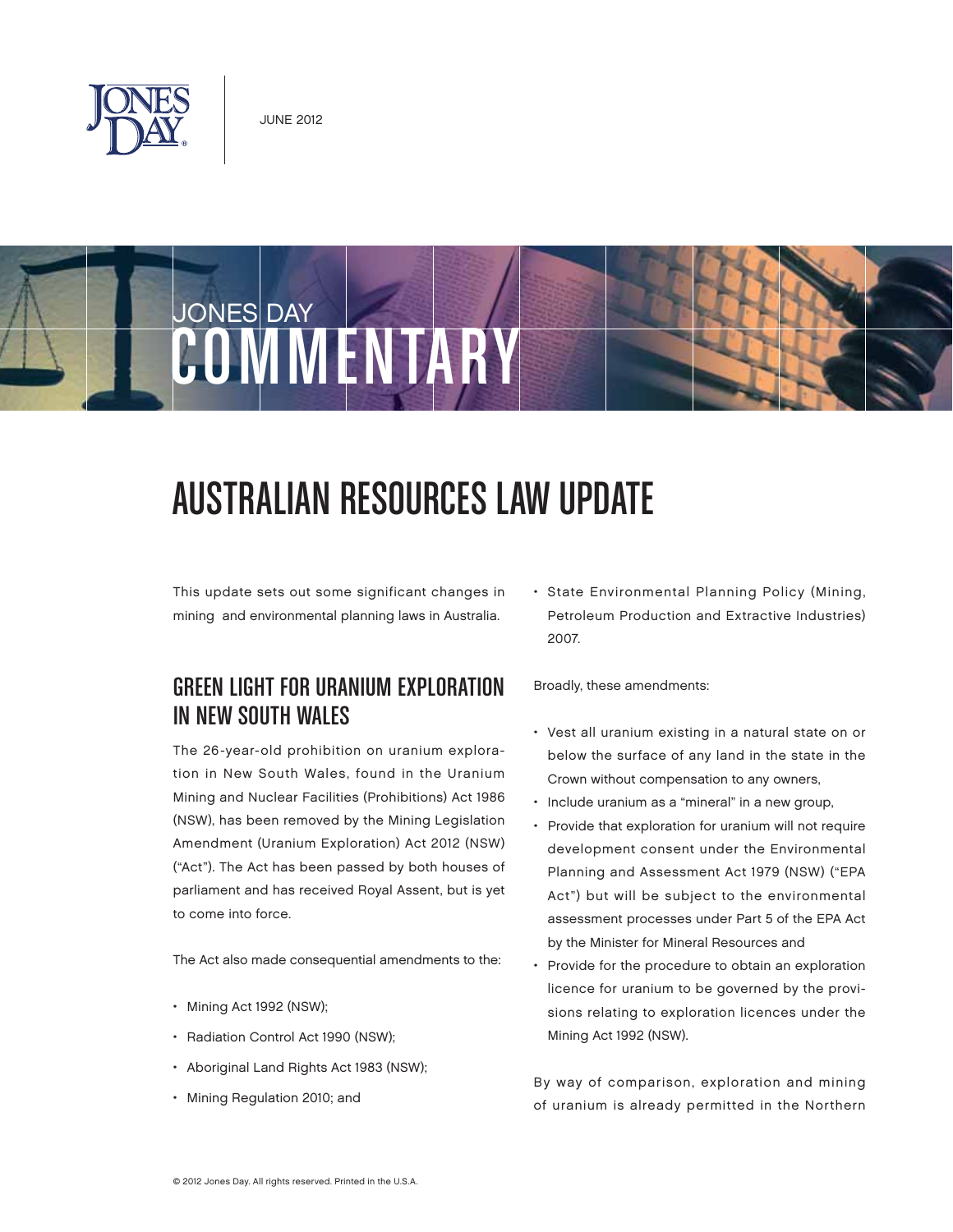



# AUSTRALIAN RESOURCES LAW UPDATE

This update sets out some significant changes in mining and environmental planning laws in Australia.

## GREEN LIGHT FOR URANIUM EXPLORATION IN NEW SOUTH WALES

The 26-year-old prohibition on uranium exploration in New South Wales, found in the Uranium Mining and Nuclear Facilities (Prohibitions) Act 1986 (NSW), has been removed by the Mining Legislation Amendment (Uranium Exploration) Act 2012 (NSW) ("Act"). The Act has been passed by both houses of parliament and has received Royal Assent, but is yet to come into force.

The Act also made consequential amendments to the:

- Mining Act 1992 (NSW);
- Radiation Control Act 1990 (NSW);
- Aboriginal Land Rights Act 1983 (NSW);
- Mining Regulation 2010; and

• State Environmental Planning Policy (Mining, Petroleum Production and Extractive Industries) 2007.

Broadly, these amendments:

- Vest all uranium existing in a natural state on or below the surface of any land in the state in the Crown without compensation to any owners,
- Include uranium as a "mineral" in a new group,
- Provide that exploration for uranium will not require development consent under the Environmental Planning and Assessment Act 1979 (NSW) ("EPA Act") but will be subject to the environmental assessment processes under Part 5 of the EPA Act by the Minister for Mineral Resources and
- Provide for the procedure to obtain an exploration licence for uranium to be governed by the provisions relating to exploration licences under the Mining Act 1992 (NSW).

By way of comparison, exploration and mining of uranium is already permitted in the Northern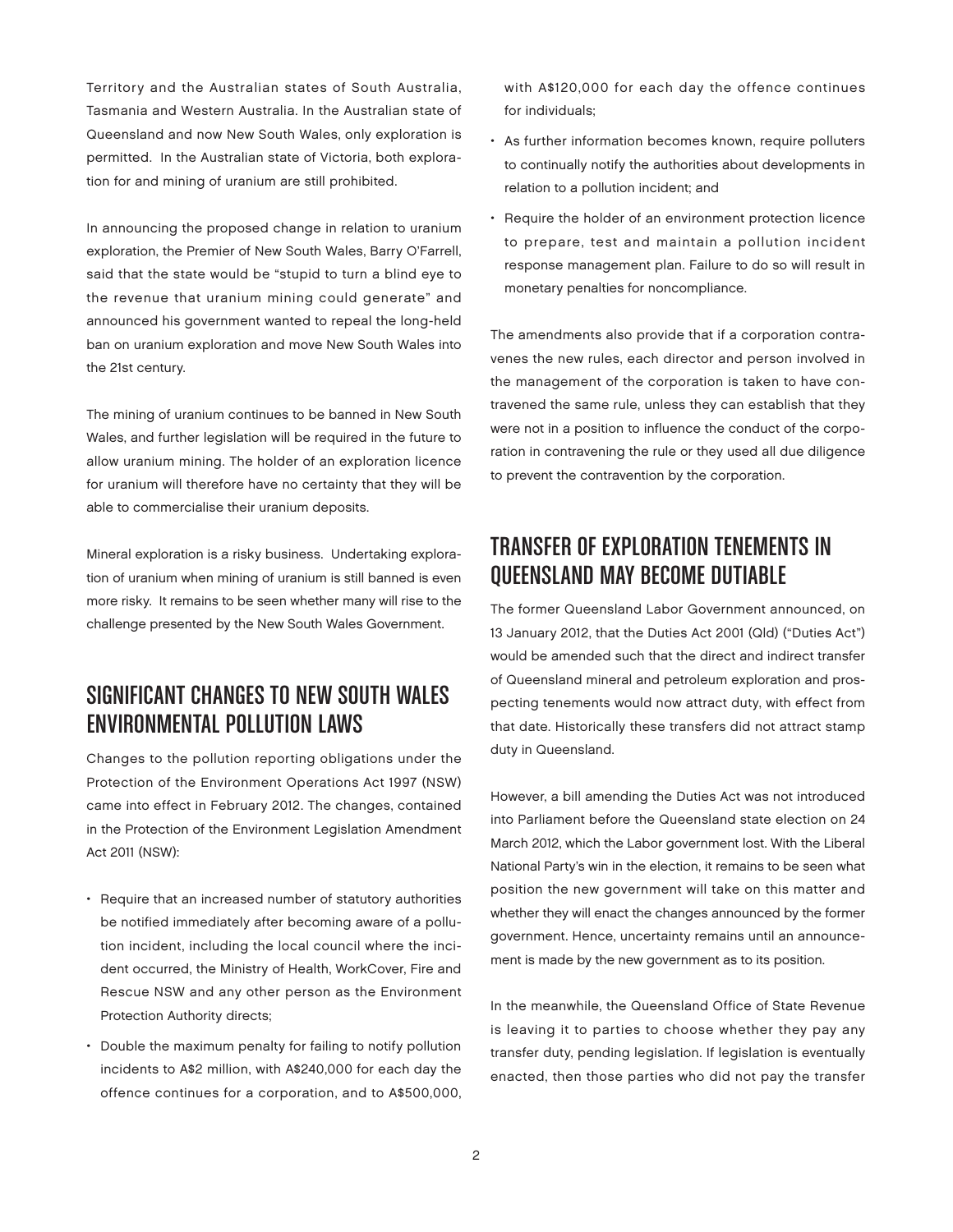Territory and the Australian states of South Australia, Tasmania and Western Australia. In the Australian state of Queensland and now New South Wales, only exploration is permitted. In the Australian state of Victoria, both exploration for and mining of uranium are still prohibited.

In announcing the proposed change in relation to uranium exploration, the Premier of New South Wales, Barry O'Farrell, said that the state would be "stupid to turn a blind eye to the revenue that uranium mining could generate" and announced his government wanted to repeal the long-held ban on uranium exploration and move New South Wales into the 21st century.

The mining of uranium continues to be banned in New South Wales, and further legislation will be required in the future to allow uranium mining. The holder of an exploration licence for uranium will therefore have no certainty that they will be able to commercialise their uranium deposits.

Mineral exploration is a risky business. Undertaking exploration of uranium when mining of uranium is still banned is even more risky. It remains to be seen whether many will rise to the challenge presented by the New South Wales Government.

# SIGNIFICANT CHANGES TO NEW SOUTH WALES ENVIRONMENTAL POLLUTION LAWS

Changes to the pollution reporting obligations under the Protection of the Environment Operations Act 1997 (NSW) came into effect in February 2012. The changes, contained in the Protection of the Environment Legislation Amendment Act 2011 (NSW):

- Require that an increased number of statutory authorities be notified immediately after becoming aware of a pollution incident, including the local council where the incident occurred, the Ministry of Health, WorkCover, Fire and Rescue NSW and any other person as the Environment Protection Authority directs;
- Double the maximum penalty for failing to notify pollution incidents to A\$2 million, with A\$240,000 for each day the offence continues for a corporation, and to A\$500,000,

with A\$120,000 for each day the offence continues for individuals;

- As further information becomes known, require polluters to continually notify the authorities about developments in relation to a pollution incident; and
- Require the holder of an environment protection licence to prepare, test and maintain a pollution incident response management plan. Failure to do so will result in monetary penalties for noncompliance.

The amendments also provide that if a corporation contravenes the new rules, each director and person involved in the management of the corporation is taken to have contravened the same rule, unless they can establish that they were not in a position to influence the conduct of the corporation in contravening the rule or they used all due diligence to prevent the contravention by the corporation.

# TRANSFER OF EXPLORATION TENEMENTS IN QUEENSLAND MAY BECOME DUTIABLE

The former Queensland Labor Government announced, on 13 January 2012, that the Duties Act 2001 (Qld) ("Duties Act") would be amended such that the direct and indirect transfer of Queensland mineral and petroleum exploration and prospecting tenements would now attract duty, with effect from that date. Historically these transfers did not attract stamp duty in Queensland.

However, a bill amending the Duties Act was not introduced into Parliament before the Queensland state election on 24 March 2012, which the Labor government lost. With the Liberal National Party's win in the election, it remains to be seen what position the new government will take on this matter and whether they will enact the changes announced by the former government. Hence, uncertainty remains until an announcement is made by the new government as to its position.

In the meanwhile, the Queensland Office of State Revenue is leaving it to parties to choose whether they pay any transfer duty, pending legislation. If legislation is eventually enacted, then those parties who did not pay the transfer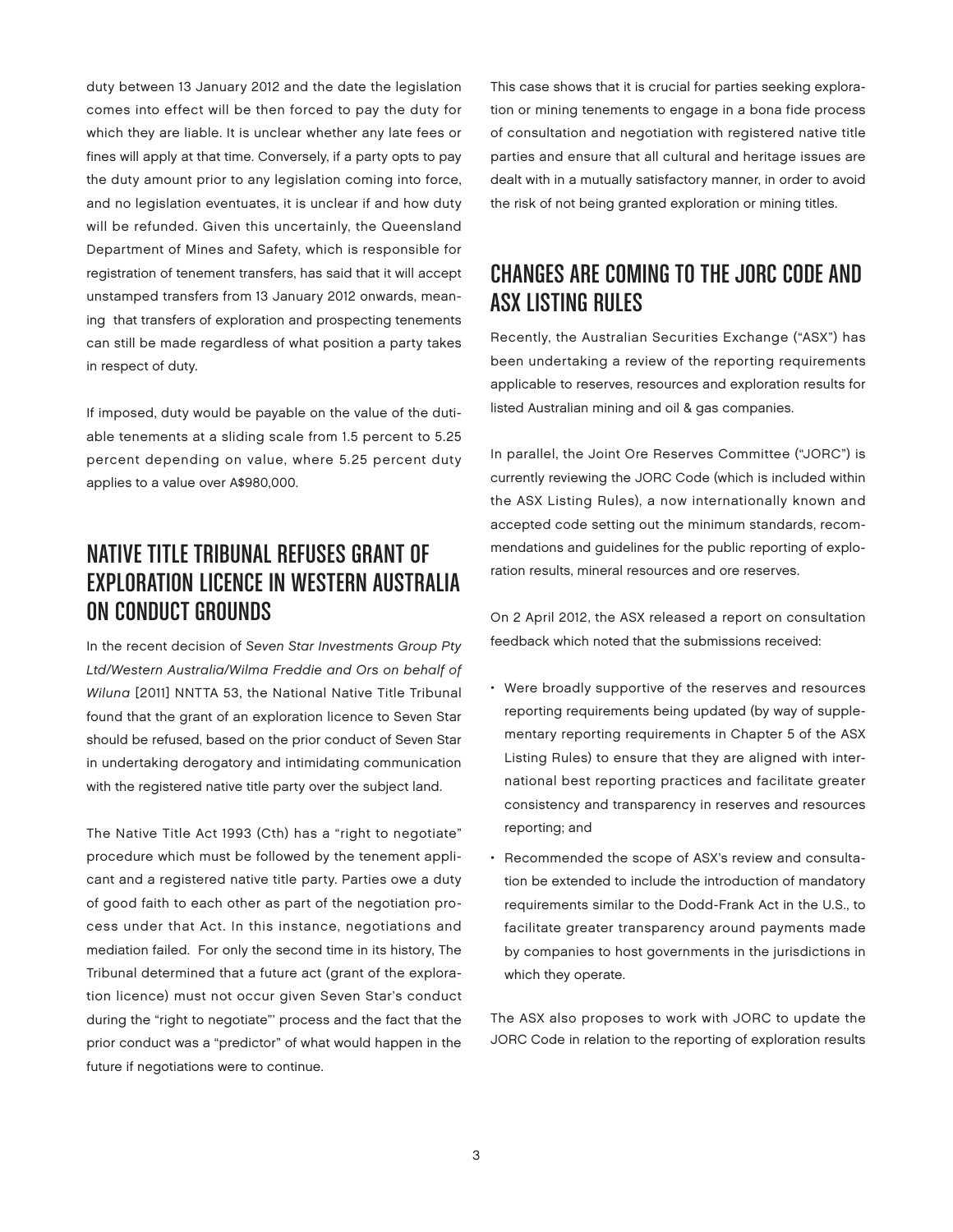duty between 13 January 2012 and the date the legislation comes into effect will be then forced to pay the duty for which they are liable. It is unclear whether any late fees or fines will apply at that time. Conversely, if a party opts to pay the duty amount prior to any legislation coming into force, and no legislation eventuates, it is unclear if and how duty will be refunded. Given this uncertainly, the Queensland Department of Mines and Safety, which is responsible for registration of tenement transfers, has said that it will accept unstamped transfers from 13 January 2012 onwards, meaning that transfers of exploration and prospecting tenements can still be made regardless of what position a party takes in respect of duty.

If imposed, duty would be payable on the value of the dutiable tenements at a sliding scale from 1.5 percent to 5.25 percent depending on value, where 5.25 percent duty applies to a value over A\$980,000.

## NATIVE TITLE TRIBUNAL REFUSES GRANT OF EXPLORATION LICENCE IN WESTERN AUSTRALIA ON CONDUCT GROUNDS

In the recent decision of Seven Star Investments Group Pty Ltd/Western Australia/Wilma Freddie and Ors on behalf of Wiluna [2011] NNTTA 53, the National Native Title Tribunal found that the grant of an exploration licence to Seven Star should be refused, based on the prior conduct of Seven Star in undertaking derogatory and intimidating communication with the registered native title party over the subject land.

The Native Title Act 1993 (Cth) has a "right to negotiate" procedure which must be followed by the tenement applicant and a registered native title party. Parties owe a duty of good faith to each other as part of the negotiation process under that Act. In this instance, negotiations and mediation failed. For only the second time in its history, The Tribunal determined that a future act (grant of the exploration licence) must not occur given Seven Star's conduct during the "right to negotiate"' process and the fact that the prior conduct was a "predictor" of what would happen in the future if negotiations were to continue.

This case shows that it is crucial for parties seeking exploration or mining tenements to engage in a bona fide process of consultation and negotiation with registered native title parties and ensure that all cultural and heritage issues are dealt with in a mutually satisfactory manner, in order to avoid the risk of not being granted exploration or mining titles.

## CHANGES ARE COMING TO THE JORC CODE AND ASX LISTING RULES

Recently, the Australian Securities Exchange ("ASX") has been undertaking a review of the reporting requirements applicable to reserves, resources and exploration results for listed Australian mining and oil & gas companies.

In parallel, the Joint Ore Reserves Committee ("JORC") is currently reviewing the JORC Code (which is included within the ASX Listing Rules), a now internationally known and accepted code setting out the minimum standards, recommendations and guidelines for the public reporting of exploration results, mineral resources and ore reserves.

On 2 April 2012, the ASX released a report on consultation feedback which noted that the submissions received:

- Were broadly supportive of the reserves and resources reporting requirements being updated (by way of supplementary reporting requirements in Chapter 5 of the ASX Listing Rules) to ensure that they are aligned with international best reporting practices and facilitate greater consistency and transparency in reserves and resources reporting; and
- Recommended the scope of ASX's review and consultation be extended to include the introduction of mandatory requirements similar to the Dodd-Frank Act in the U.S., to facilitate greater transparency around payments made by companies to host governments in the jurisdictions in which they operate.

The ASX also proposes to work with JORC to update the JORC Code in relation to the reporting of exploration results